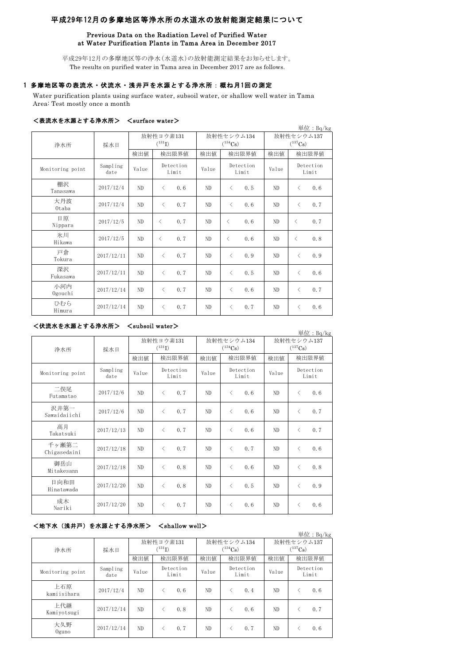# 平成29年12月の多摩地区等浄水所の水道水の放射能測定結果について

## Previous Data on the Radiation Level of Purified Water at Water Purification Plants in Tama Area in December 2017

平成29年12月の多摩地区等の浄水(水道水)の放射能測定結果をお知らせします。 The results on purified water in Tama area in December 2017 are as follows.

# 1 多摩地区等の表流水・伏流水・浅井戸を水源とする浄水所:概ね月1回の測定

Water purification plants using surface water, subsoil water, or shallow well water in Tama Area: Test mostly once a month

### <表流水を水源とする浄水所> <surface water>

| こかいい ヒンハベー ノーのバンバリン |                  |                          |                    |     |                            |                                          |     |                            |                    | 単位: Bq/kg |
|---------------------|------------------|--------------------------|--------------------|-----|----------------------------|------------------------------------------|-----|----------------------------|--------------------|-----------|
| 浄水所                 | 採水日              | 放射性ヨウ素131<br>$(^{131}I)$ |                    |     | 放射性セシウム134<br>$(^{134}Cs)$ |                                          |     | 放射性セシウム137<br>$(^{137}Cs)$ |                    |           |
|                     |                  | 検出値                      | 検出限界値              |     | 検出値                        | 検出限界値                                    |     | 検出値                        | 検出限界値              |           |
| Monitoring point    | Sampling<br>date | Value                    | Detection<br>Limit |     | Value                      | Detection<br>Limit                       |     | Value                      | Detection<br>Limit |           |
| 棚沢<br>Tanasawa      | 2017/12/4        | ND                       | $\langle$          | 0.6 | ND                         | $\langle$                                | 0.5 | ND                         | $\langle$          | 0.6       |
| 大丹波<br>0taba        | 2017/12/4        | ND                       | $\langle$          | 0.7 | ND                         | $\lt$                                    | 0.6 | ND                         | $\lt$              | 0.7       |
| 日原<br>Nippara       | 2017/12/5        | ND                       | $\langle$          | 0.7 | ND                         | $\langle$                                | 0.6 | ND                         | $\langle$          | 0.7       |
| 氷川<br>Hikawa        | 2017/12/5        | ND                       | $\langle$          | 0.7 | ND                         | $\overline{\left\langle \right\rangle }$ | 0.6 | ND                         | $\langle$          | 0.8       |
| 戸倉<br>Tokura        | 2017/12/11       | ND                       | $\langle$          | 0.7 | ND                         | $\langle$                                | 0.9 | ND                         | $\langle$          | 0.9       |
| 深沢<br>Fukasawa      | 2017/12/11       | ND.                      | $\langle$          | 0.7 | ND                         | $\lt$                                    | 0.5 | ND                         | $\langle$          | 0.6       |
| 小河内<br>Ogouchi      | 2017/12/14       | ND                       | $\langle$          | 0.7 | ND                         | $\langle$                                | 0.6 | N <sub>D</sub>             | $\langle$          | 0.7       |
| ひむら<br>Himura       | 2017/12/14       | ND.                      | $\lt$              | 0.7 | ND                         | $\lt$                                    | 0.7 | ND                         | く                  | 0.6       |

## <伏流水を水源とする浄水所> <subsoil water>

単位:Bq/kg

| 浄水所                   | 採水日              |       | 放射性ヨウ素131<br>$(^{131}I)$ |       | 放射性セシウム134<br>$(^{134}\mathrm{Cs})$ | 放射性セシウム137<br>$(^{137}\mathrm{Cs})$ |                    |  |
|-----------------------|------------------|-------|--------------------------|-------|-------------------------------------|-------------------------------------|--------------------|--|
|                       |                  | 検出値   | 検出限界値                    | 検出値   | 検出限界値                               | 検出値                                 | 検出限界値              |  |
| Monitoring point      | Sampling<br>date | Value | Detection<br>Limit       | Value | Detection<br>Limit                  | Value                               | Detection<br>Limit |  |
| 二俣尾<br>Futamatao      | 2017/12/6        | ND    | $\langle$<br>0.7         | ND    | $\langle$<br>0.6                    | ND.                                 | $\langle$<br>0.6   |  |
| 沢井第一<br>Sawaidaiichi  | 2017/12/6        | ND    | 0.7<br>$\langle$         | ND    | $\langle$<br>0.6                    | ND.                                 | 0.7<br>$\lt$       |  |
| 高月<br>Takatsuki       | 2017/12/13       | ND    | $\langle$<br>0.7         | ND    | 0.6<br>$\langle$                    | ND                                  | 0.7<br>$\langle$   |  |
| 千ヶ瀬第二<br>Chigasedaini | 2017/12/18       | ND.   | $\langle$<br>0.7         | ND    | 0.7<br>$\langle$                    | ND.                                 | 0, 6<br>$\langle$  |  |
| 御岳山<br>Mitakesann     | 2017/12/18       | ND    | $\langle$<br>0.8         | ND    | $\langle$<br>0.6                    | ND.                                 | 0.8<br>$\langle$   |  |
| 日向和田<br>Hinatawada    | 2017/12/20       | ND.   | $\langle$<br>0.8         | ND    | $\langle$<br>0.5                    | ND.                                 | 0.9<br>$\langle$   |  |
| 成木<br>Nariki          | 2017/12/20       | ND    | 0.7<br>$\langle$         | ND    | 0.6<br>$\langle$                    | ND.                                 | 0.6<br>$\langle$   |  |

# <地下水(浅井戸)を水源とする浄水所> <shallow well>

|                    |                  |                          |                    |     |                            |                    |     |                            |                    | 単位: $Bq/kg$ |
|--------------------|------------------|--------------------------|--------------------|-----|----------------------------|--------------------|-----|----------------------------|--------------------|-------------|
| 浄水所                | 採水日              | 放射性ヨウ素131<br>$(^{131}I)$ |                    |     | 放射性セシウム134<br>$(^{134}Cs)$ |                    |     | 放射性セシウム137<br>$(^{137}Cs)$ |                    |             |
|                    |                  | 検出値                      | 検出限界値              |     | 検出値                        | 検出限界値              |     | 検出値                        | 検出限界値              |             |
| Monitoring point   | Sampling<br>date | Value                    | Detection<br>Limit |     | Value                      | Detection<br>Limit |     | Value                      | Detection<br>Limit |             |
| 上石原<br>kamiisihara | 2017/12/4        | ND.                      |                    | 0.6 | ND                         |                    | 0.4 | ND                         |                    | 0.6         |
| 上代継<br>Kamiyotsugi | 2017/12/14       | ND.                      |                    | 0.8 | ND                         |                    | 0.6 | ND                         |                    | 0.7         |
| 大久野<br>$0$ guno    | 2017/12/14       | ND.                      |                    | 0.7 | ND                         |                    | 0.7 | ND                         |                    | 0.6         |